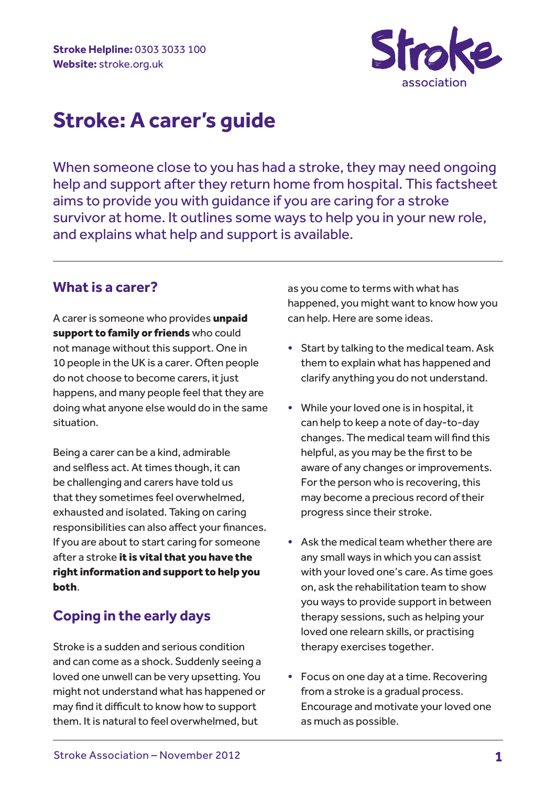

When someone close to you has had a stroke, they may need ongoing help and support after they return home from hospital. This factsheet aims to provide you with guidance if you are caring for a stroke survivor at home. It outlines some ways to help you in your new role, and explains what help and support is available.

### **What is a carer?**

A carer is someone who provides unpaid support to family or friends who could not manage without this support. One in 10 people in the UK is a carer. Often people do not choose to become carers, it just happens, and many people feel that they are doing what anyone else would do in the same situation.

Being a carer can be a kind, admirable and selfless act. At times though, it can be challenging and carers have told us that they sometimes feel overwhelmed, exhausted and isolated. Taking on caring responsibilities can also affect your finances. If you are about to start caring for someone after a stroke it is vital that you have the right information and support to help you both.

# **Coping in the early days**

Stroke is a sudden and serious condition and can come as a shock. Suddenly seeing a loved one unwell can be very upsetting. You might not understand what has happened or may find it difficult to know how to support them. It is natural to feel overwhelmed, but

as you come to terms with what has happened, you might want to know how you can help. Here are some ideas.

- Start by talking to the medical team. Ask them to explain what has happened and clarify anything you do not understand.
- While your loved one is in hospital, it can help to keep a note of day-to-day changes. The medical team will find this helpful, as you may be the first to be aware of any changes or improvements. For the person who is recovering, this may become a precious record of their progress since their stroke.
- Ask the medical team whether there are any small ways in which you can assist with your loved one's care. As time goes on, ask the rehabilitation team to show you ways to provide support in between therapy sessions, such as helping your loved one relearn skills, or practising therapy exercises together.
- Focus on one day at a time. Recovering from a stroke is a gradual process. Encourage and motivate your loved one as much as possible.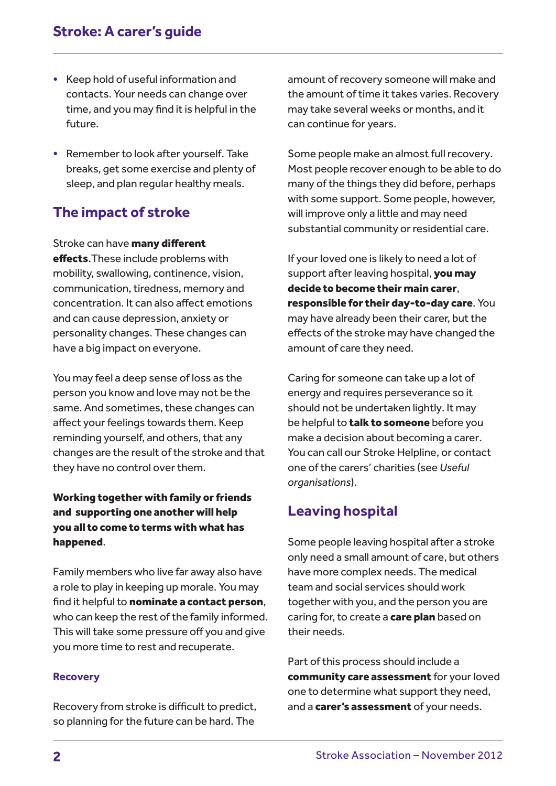- Keep hold of useful information and contacts. Your needs can change over time, and you may find it is helpful in the future.
- Remember to look after yourself. Take breaks, get some exercise and plenty of sleep, and plan regular healthy meals.

# **The impact of stroke**

Stroke can have **many different** effects. These include problems with mobility, swallowing, continence, vision, communication, tiredness, memory and concentration. It can also affect emotions and can cause depression, anxiety or personality changes. These changes can have a big impact on everyone.

You may feel a deep sense of loss as the person you know and love may not be the same. And sometimes, these changes can affect your feelings towards them. Keep reminding yourself, and others, that any changes are the result of the stroke and that they have no control over them.

Working together with family or friends and supporting one another will help you all to come to terms with what has happened.

Family members who live far away also have a role to play in keeping up morale. You may find it helpful to nominate a contact person, who can keep the rest of the family informed. This will take some pressure off you and give you more time to rest and recuperate.

#### **Recovery**

Recovery from stroke is difficult to predict, so planning for the future can be hard. The

amount of recovery someone will make and the amount of time it takes varies. Recovery may take several weeks or months, and it can continue for years.

Some people make an almost full recovery. Most people recover enough to be able to do many of the things they did before, perhaps with some support. Some people, however, will improve only a little and may need substantial community or residential care.

If your loved one is likely to need a lot of support after leaving hospital, you may decide to become their main carer, responsible for their day-to-day care. You may have already been their carer, but the effects of the stroke may have changed the amount of care they need.

Caring for someone can take up a lot of energy and requires perseverance so it should not be undertaken lightly. It may be helpful to talk to someone before you make a decision about becoming a carer. You can call our Stroke Helpline, or contact one of the carers' charities (see *Useful organisations*).

# **Leaving hospital**

Some people leaving hospital after a stroke only need a small amount of care, but others have more complex needs. The medical team and social services should work together with you, and the person you are caring for, to create a **care plan** based on their needs.

Part of this process should include a community care assessment for your loved one to determine what support they need, and a carer's assessment of your needs.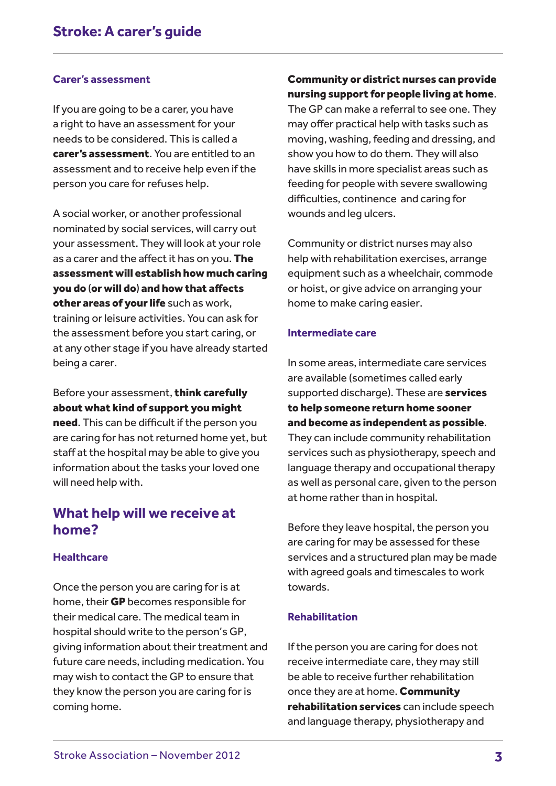#### **Carer's assessment**

If you are going to be a carer, you have a right to have an assessment for your needs to be considered. This is called a carer's assessment. You are entitled to an assessment and to receive help even if the person you care for refuses help.

A social worker, or another professional nominated by social services, will carry out your assessment. They will look at your role as a carer and the affect it has on you. The assessment will establish how much caring you do (or will do) and how that affects other areas of your life such as work. training or leisure activities. You can ask for the assessment before you start caring, or at any other stage if you have already started being a carer.

Before your assessment, think carefully about what kind of support you might

need. This can be difficult if the person you are caring for has not returned home yet, but staff at the hospital may be able to give you information about the tasks your loved one will need help with.

### **What help will we receive at home?**

### **Healthcare**

Once the person you are caring for is at home, their GP becomes responsible for their medical care. The medical team in hospital should write to the person's GP, giving information about their treatment and future care needs, including medication. You may wish to contact the GP to ensure that they know the person you are caring for is coming home.

### Community or district nurses can provide nursing support for people living at home.

The GP can make a referral to see one. They may offer practical help with tasks such as moving, washing, feeding and dressing, and show you how to do them. They will also have skills in more specialist areas such as feeding for people with severe swallowing difficulties, continence and caring for wounds and leg ulcers.

Community or district nurses may also help with rehabilitation exercises, arrange equipment such as a wheelchair, commode or hoist, or give advice on arranging your home to make caring easier.

#### **Intermediate care**

In some areas, intermediate care services are available (sometimes called early supported discharge). These are services to help someone return home sooner and become as independent as possible. They can include community rehabilitation services such as physiotherapy, speech and language therapy and occupational therapy as well as personal care, given to the person at home rather than in hospital.

Before they leave hospital, the person you are caring for may be assessed for these services and a structured plan may be made with agreed goals and timescales to work towards.

#### **Rehabilitation**

If the person you are caring for does not receive intermediate care, they may still be able to receive further rehabilitation once they are at home. Community rehabilitation services can include speech and language therapy, physiotherapy and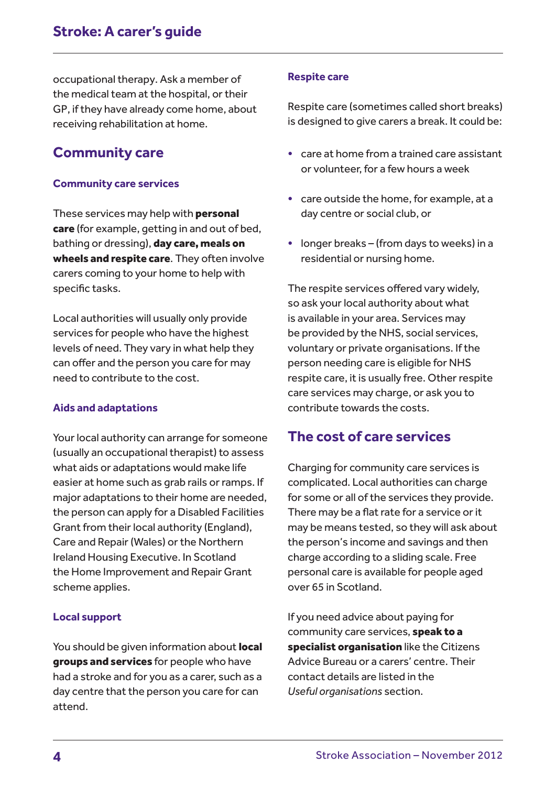occupational therapy. Ask a member of the medical team at the hospital, or their GP, if they have already come home, about receiving rehabilitation at home.

### **Community care**

#### **Community care services**

These services may help with **personal** care (for example, getting in and out of bed, bathing or dressing), day care, meals on wheels and respite care. They often involve carers coming to your home to help with specific tasks.

Local authorities will usually only provide services for people who have the highest levels of need. They vary in what help they can offer and the person you care for may need to contribute to the cost.

#### **Aids and adaptations**

Your local authority can arrange for someone (usually an occupational therapist) to assess what aids or adaptations would make life easier at home such as grab rails or ramps. If major adaptations to their home are needed, the person can apply for a Disabled Facilities Grant from their local authority (England), Care and Repair (Wales) or the Northern Ireland Housing Executive. In Scotland the Home Improvement and Repair Grant scheme applies.

#### **Local support**

You should be given information about **local** groups and services for people who have had a stroke and for you as a carer, such as a day centre that the person you care for can attend.

#### **Respite care**

Respite care (sometimes called short breaks) is designed to give carers a break. It could be:

- care at home from a trained care assistant or volunteer, for a few hours a week
- care outside the home, for example, at a day centre or social club, or
- longer breaks (from days to weeks) in a residential or nursing home.

The respite services offered vary widely, so ask your local authority about what is available in your area. Services may be provided by the NHS, social services, voluntary or private organisations. If the person needing care is eligible for NHS respite care, it is usually free. Other respite care services may charge, or ask you to contribute towards the costs.

### **The cost of care services**

Charging for community care services is complicated. Local authorities can charge for some or all of the services they provide. There may be a flat rate for a service or it may be means tested, so they will ask about the person's income and savings and then charge according to a sliding scale. Free personal care is available for people aged over 65 in Scotland.

If you need advice about paying for community care services, speak to a specialist organisation like the Citizens Advice Bureau or a carers' centre. Their contact details are listed in the *Useful organisations* section.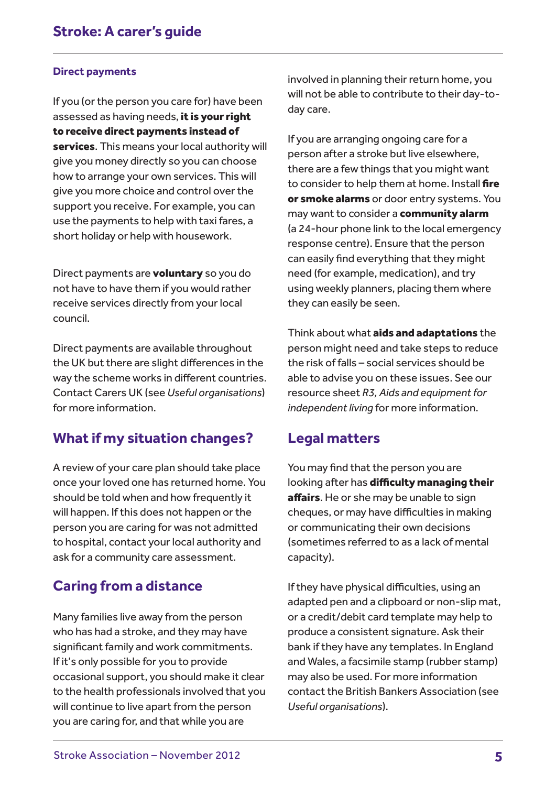### **Direct payments**

If you (or the person you care for) have been assessed as having needs, it is your right to receive direct payments instead of services. This means your local authority will give you money directly so you can choose how to arrange your own services. This will give you more choice and control over the support you receive. For example, you can use the payments to help with taxi fares, a short holiday or help with housework.

Direct payments are **voluntary** so you do not have to have them if you would rather receive services directly from your local council.

Direct payments are available throughout the UK but there are slight differences in the way the scheme works in different countries. Contact Carers UK (see *Useful organisations*) for more information.

# **What if my situation changes?**

A review of your care plan should take place once your loved one has returned home. You should be told when and how frequently it will happen. If this does not happen or the person you are caring for was not admitted to hospital, contact your local authority and ask for a community care assessment.

# **Caring from a distance**

Many families live away from the person who has had a stroke, and they may have significant family and work commitments. If it's only possible for you to provide occasional support, you should make it clear to the health professionals involved that you will continue to live apart from the person you are caring for, and that while you are

involved in planning their return home, you will not be able to contribute to their day-today care.

If you are arranging ongoing care for a person after a stroke but live elsewhere, there are a few things that you might want to consider to help them at home. Install fire or smoke alarms or door entry systems. You may want to consider a community alarm (a 24-hour phone link to the local emergency response centre). Ensure that the person can easily find everything that they might need (for example, medication), and try using weekly planners, placing them where they can easily be seen.

Think about what aids and adaptations the person might need and take steps to reduce the risk of falls – social services should be able to advise you on these issues. See our resource sheet *R3, Aids and equipment for independent living* for more information.

### **Legal matters**

You may find that the person you are looking after has difficulty managing their affairs. He or she may be unable to sign cheques, or may have difficulties in making or communicating their own decisions (sometimes referred to as a lack of mental capacity).

If they have physical difficulties, using an adapted pen and a clipboard or non-slip mat, or a credit/debit card template may help to produce a consistent signature. Ask their bank if they have any templates. In England and Wales, a facsimile stamp (rubber stamp) may also be used. For more information contact the British Bankers Association (see *Useful organisations*).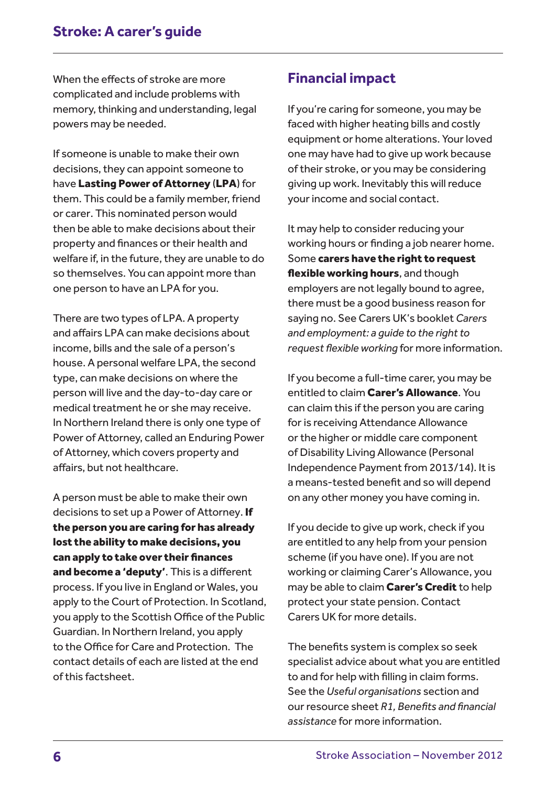When the effects of stroke are more complicated and include problems with memory, thinking and understanding, legal powers may be needed.

If someone is unable to make their own decisions, they can appoint someone to have Lasting Power of Attorney (LPA) for them. This could be a family member, friend or carer. This nominated person would then be able to make decisions about their property and finances or their health and welfare if, in the future, they are unable to do so themselves. You can appoint more than one person to have an LPA for you.

There are two types of LPA. A property and affairs LPA can make decisions about income, bills and the sale of a person's house. A personal welfare LPA, the second type, can make decisions on where the person will live and the day-to-day care or medical treatment he or she may receive. In Northern Ireland there is only one type of Power of Attorney, called an Enduring Power of Attorney, which covers property and affairs, but not healthcare.

A person must be able to make their own decisions to set up a Power of Attorney. If the person you are caring for has already lost the ability to make decisions, you can apply to take over their finances and become a 'deputy'. This is a different process. If you live in England or Wales, you apply to the Court of Protection. In Scotland, you apply to the Scottish Office of the Public Guardian. In Northern Ireland, you apply to the Office for Care and Protection. The contact details of each are listed at the end of this factsheet.

### **Financial impact**

If you're caring for someone, you may be faced with higher heating bills and costly equipment or home alterations. Your loved one may have had to give up work because of their stroke, or you may be considering giving up work. Inevitably this will reduce your income and social contact.

It may help to consider reducing your working hours or finding a job nearer home. Some carers have the right to request flexible working hours, and though employers are not legally bound to agree, there must be a good business reason for saying no. See Carers UK's booklet *Carers and employment: a guide to the right to request flexible working* for more information.

If you become a full-time carer, you may be entitled to claim Carer's Allowance. You can claim this if the person you are caring for is receiving Attendance Allowance or the higher or middle care component of Disability Living Allowance (Personal Independence Payment from 2013/14). It is a means-tested benefit and so will depend on any other money you have coming in.

If you decide to give up work, check if you are entitled to any help from your pension scheme (if you have one). If you are not working or claiming Carer's Allowance, you may be able to claim **Carer's Credit** to help protect your state pension. Contact Carers UK for more details.

The benefits system is complex so seek specialist advice about what you are entitled to and for help with filling in claim forms. See the *Useful organisations* section and our resource sheet *R1, Benefits and financial assistance* for more information.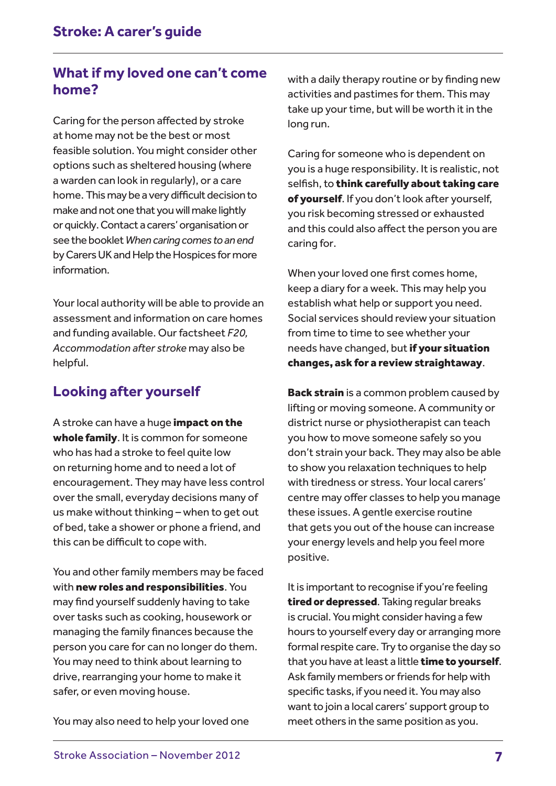# **What if my loved one can't come home?**

Caring for the person affected by stroke at home may not be the best or most feasible solution. You might consider other options such as sheltered housing (where a warden can look in regularly), or a care home. This may be a very difficult decision to make and not one that you will make lightly or quickly. Contact a carers' organisation or see the booklet *When caring comes to an end* by Carers UK and Help the Hospices for more information.

Your local authority will be able to provide an assessment and information on care homes and funding available. Our factsheet *F20, Accommodation after stroke* may also be helpful.

# **Looking after yourself**

A stroke can have a huge impact on the whole family. It is common for someone who has had a stroke to feel quite low on returning home and to need a lot of encouragement. They may have less control over the small, everyday decisions many of us make without thinking – when to get out of bed, take a shower or phone a friend, and this can be difficult to cope with.

You and other family members may be faced with new roles and responsibilities. You may find yourself suddenly having to take over tasks such as cooking, housework or managing the family finances because the person you care for can no longer do them. You may need to think about learning to drive, rearranging your home to make it safer, or even moving house.

You may also need to help your loved one

with a daily therapy routine or by finding new activities and pastimes for them. This may take up your time, but will be worth it in the long run.

Caring for someone who is dependent on you is a huge responsibility. It is realistic, not selfish, to think carefully about taking care of yourself. If you don't look after yourself, you risk becoming stressed or exhausted and this could also affect the person you are caring for.

When your loved one first comes home, keep a diary for a week. This may help you establish what help or support you need. Social services should review your situation from time to time to see whether your needs have changed, but if your situation changes, ask for a review straightaway.

**Back strain** is a common problem caused by lifting or moving someone. A community or district nurse or physiotherapist can teach you how to move someone safely so you don't strain your back. They may also be able to show you relaxation techniques to help with tiredness or stress. Your local carers' centre may offer classes to help you manage these issues. A gentle exercise routine that gets you out of the house can increase your energy levels and help you feel more positive.

It is important to recognise if you're feeling tired or depressed. Taking regular breaks is crucial. You might consider having a few hours to yourself every day or arranging more formal respite care. Try to organise the day so that you have at least a little time to yourself. Ask family members or friends for help with specific tasks, if you need it. You may also want to join a local carers' support group to meet others in the same position as you.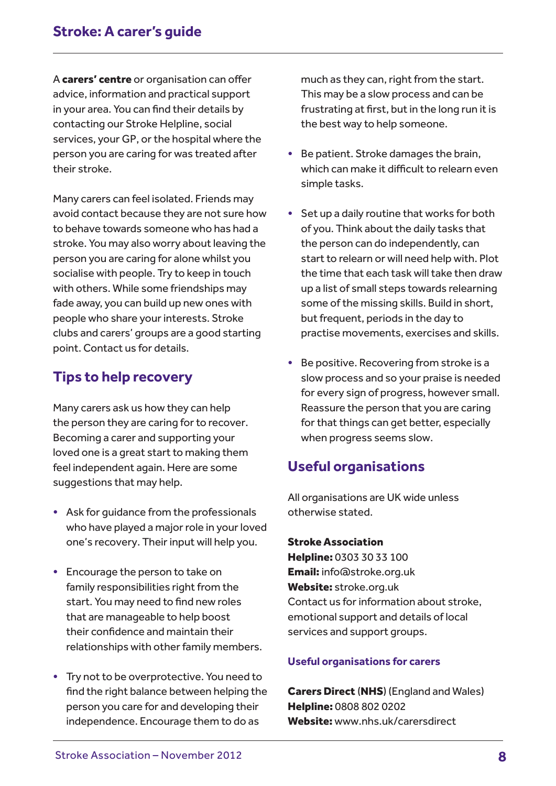A carers' centre or organisation can offer advice, information and practical support in your area. You can find their details by contacting our Stroke Helpline, social services, your GP, or the hospital where the person you are caring for was treated after their stroke.

Many carers can feel isolated. Friends may avoid contact because they are not sure how to behave towards someone who has had a stroke. You may also worry about leaving the person you are caring for alone whilst you socialise with people. Try to keep in touch with others. While some friendships may fade away, you can build up new ones with people who share your interests. Stroke clubs and carers' groups are a good starting point. Contact us for details.

# **Tips to help recovery**

Many carers ask us how they can help the person they are caring for to recover. Becoming a carer and supporting your loved one is a great start to making them feel independent again. Here are some suggestions that may help.

- Ask for guidance from the professionals who have played a major role in your loved one's recovery. Their input will help you.
- Encourage the person to take on family responsibilities right from the start. You may need to find new roles that are manageable to help boost their confidence and maintain their relationships with other family members.
- Try not to be overprotective. You need to find the right balance between helping the person you care for and developing their independence. Encourage them to do as

much as they can, right from the start. This may be a slow process and can be frustrating at first, but in the long run it is the best way to help someone.

- Be patient. Stroke damages the brain, which can make it difficult to relearn even simple tasks.
- Set up a daily routine that works for both of you. Think about the daily tasks that the person can do independently, can start to relearn or will need help with. Plot the time that each task will take then draw up a list of small steps towards relearning some of the missing skills. Build in short, but frequent, periods in the day to practise movements, exercises and skills.
- Be positive. Recovering from stroke is a slow process and so your praise is needed for every sign of progress, however small. Reassure the person that you are caring for that things can get better, especially when progress seems slow.

# **Useful organisations**

All organisations are UK wide unless otherwise stated.

Stroke Association Helpline: 0303 30 33 100 Email: info@stroke.org.uk Website: stroke.org.uk Contact us for information about stroke, emotional support and details of local services and support groups.

### **Useful organisations for carers**

Carers Direct (NHS) (England and Wales) Helpline: 0808 802 0202 Website: www.nhs.uk/carersdirect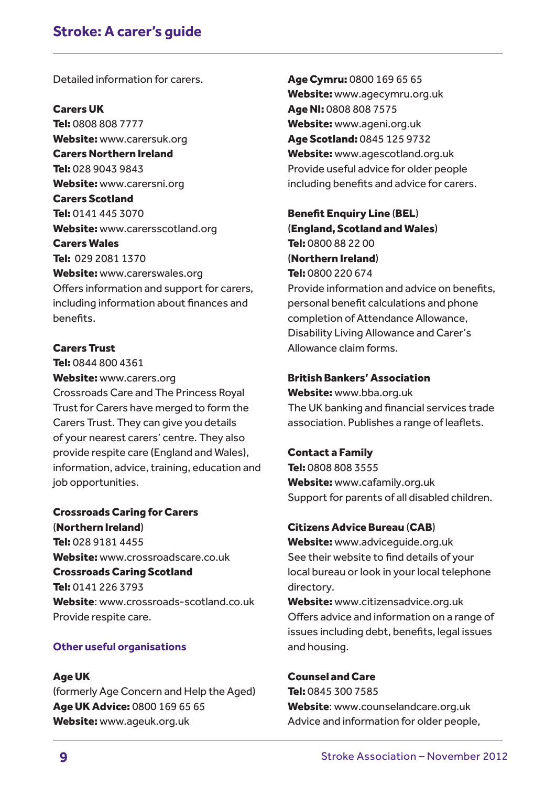Detailed information for carers.

### Carers UK

Tel: 0808 808 7777 Website: www.carersuk.org Carers Northern Ireland Tel: 028 9043 9843 Website: www.carersni.org Carers Scotland Tel: 0141 445 3070 Website: www.carersscotland.org Carers Wales Tel: 029 2081 1370 Website: www.carerswales.org

Offers information and support for carers, including information about finances and benefits.

### Carers Trust

Tel: 0844 800 4361 Website: www.carers.org Crossroads Care and The Princess Royal Trust for Carers have merged to form the Carers Trust. They can give you details of your nearest carers' centre. They also provide respite care (England and Wales), information, advice, training, education and job opportunities.

### Crossroads Caring for Carers (Northern Ireland) Tel: 028 9181 4455 Website: www.crossroadscare.co.uk Crossroads Caring Scotland Tel: 0141 226 3793 Website: www.crossroads-scotland.co.uk Provide respite care.

### **Other useful organisations**

### Age UK

(formerly Age Concern and Help the Aged) Age UK Advice: 0800 169 65 65 Website: www.ageuk.org.uk

Age Cymru: 0800 169 65 65 Website: www.agecymru.org.uk Age NI: 0808 808 7575 Website: www.ageni.org.uk Age Scotland: 0845 125 9732 Website: www.agescotland.org.uk Provide useful advice for older people including benefits and advice for carers.

Benefit Enquiry Line (BEL) (England, Scotland and Wales) Tel: 0800 88 22 00 (Northern Ireland) Tel: 0800 220 674 Provide information and advice on benefits, personal benefit calculations and phone completion of Attendance Allowance, Disability Living Allowance and Carer's Allowance claim forms.

### British Bankers' Association

Website: www.bba.org.uk The UK banking and financial services trade association. Publishes a range of leaflets.

#### Contact a Family

Tel: 0808 808 3555 Website: www.cafamily.org.uk Support for parents of all disabled children.

#### Citizens Advice Bureau (CAB)

Website: www.adviceguide.org.uk See their website to find details of your local bureau or look in your local telephone directory.

Website: www.citizensadvice.org.uk Offers advice and information on a range of issues including debt, benefits, legal issues and housing.

#### Counsel and Care

Tel: 0845 300 7585 Website: www.counselandcare.org.uk Advice and information for older people,